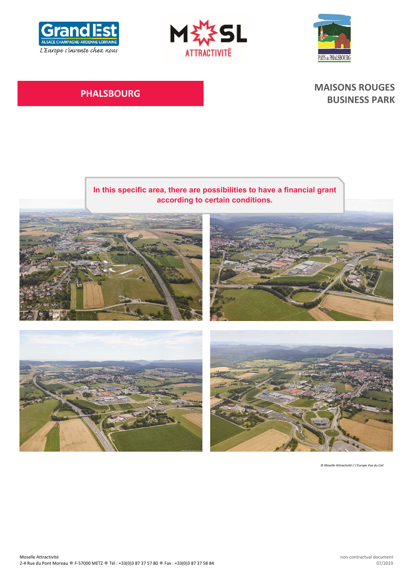





# **PHALSBOURG MAISONS ROUGES BUSINESS PARK**



*© Moselle Attractivité / L'Europe Vue du Ciel*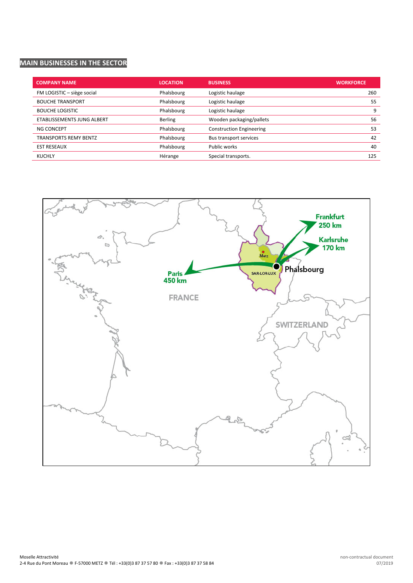# **MAIN BUSINESSES IN THE SECTOR**

| <b>COMPANY NAME</b>          | <b>LOCATION</b> | <b>BUSINESS</b>                 | <b>WORKFORCE</b> |
|------------------------------|-----------------|---------------------------------|------------------|
| FM LOGISTIC - siège social   | Phalsbourg      | Logistic haulage                | 260              |
| <b>BOUCHE TRANSPORT</b>      | Phalsbourg      | Logistic haulage                | 55               |
| <b>BOUCHE LOGISTIC</b>       | Phalsbourg      | Logistic haulage                | 9                |
| ETABLISSEMENTS JUNG ALBERT   | <b>Berling</b>  | Wooden packaging/pallets        | 56               |
| NG CONCEPT                   | Phalsbourg      | <b>Construction Engineering</b> | 53               |
| <b>TRANSPORTS REMY BENTZ</b> | Phalsbourg      | Bus transport services          | 42               |
| <b>EST RESEAUX</b>           | Phalsbourg      | Public works                    | 40               |
| <b>KUCHLY</b>                | Hérange         | Special transports.             | 125              |